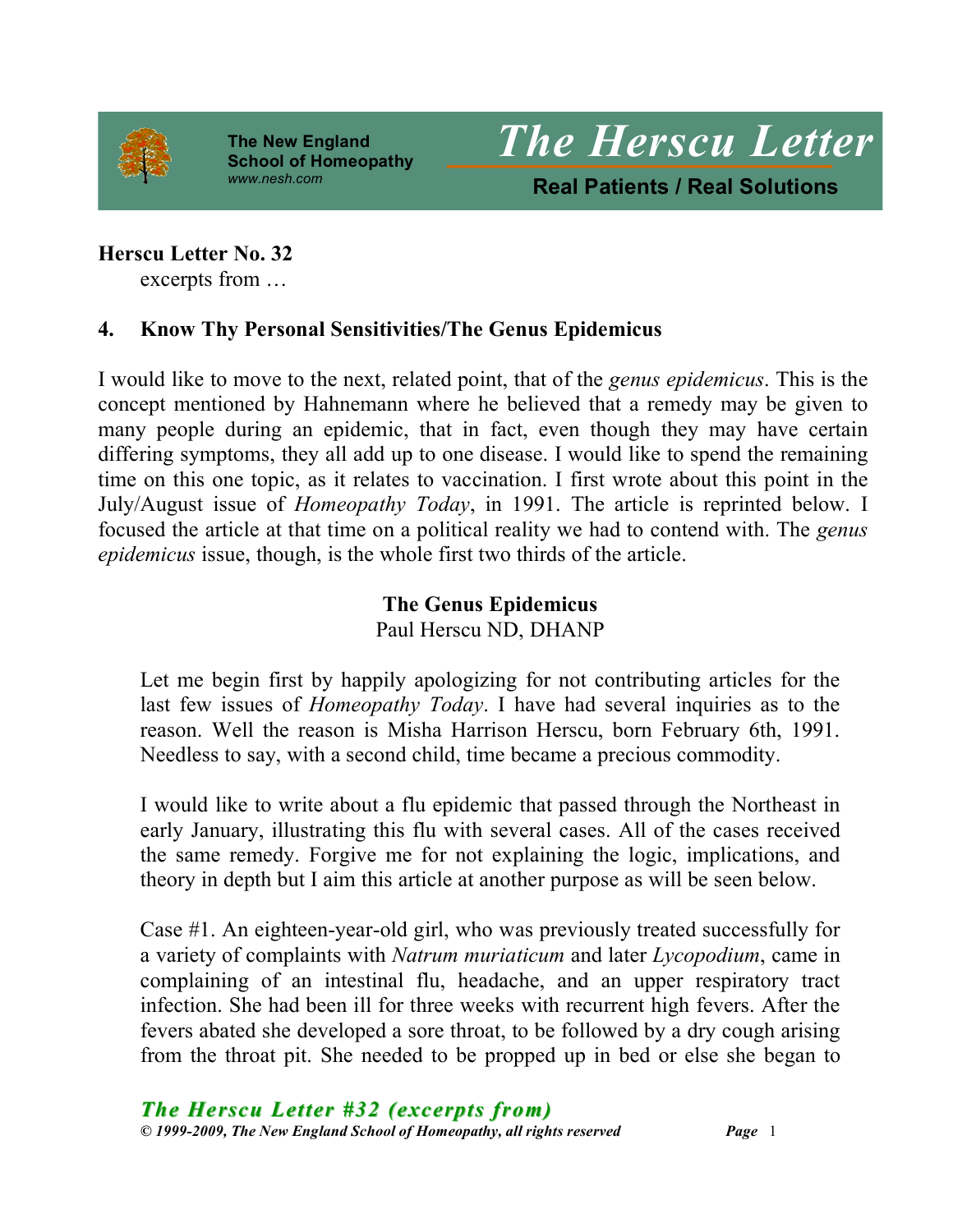

**The New England School of Homeopathy**



### **Herscu Letter No. 32**

excerpts from …

### **4. Know Thy Personal Sensitivities/The Genus Epidemicus**

I would like to move to the next, related point, that of the *genus epidemicus*. This is the concept mentioned by Hahnemann where he believed that a remedy may be given to many people during an epidemic, that in fact, even though they may have certain differing symptoms, they all add up to one disease. I would like to spend the remaining time on this one topic, as it relates to vaccination. I first wrote about this point in the July/August issue of *Homeopathy Today*, in 1991. The article is reprinted below. I focused the article at that time on a political reality we had to contend with. The *genus epidemicus* issue, though, is the whole first two thirds of the article.

# **The Genus Epidemicus** Paul Herscu ND, DHANP

Let me begin first by happily apologizing for not contributing articles for the last few issues of *Homeopathy Today*. I have had several inquiries as to the reason. Well the reason is Misha Harrison Herscu, born February 6th, 1991. Needless to say, with a second child, time became a precious commodity.

I would like to write about a flu epidemic that passed through the Northeast in early January, illustrating this flu with several cases. All of the cases received the same remedy. Forgive me for not explaining the logic, implications, and theory in depth but I aim this article at another purpose as will be seen below.

Case #1. An eighteen-year-old girl, who was previously treated successfully for a variety of complaints with *Natrum muriaticum* and later *Lycopodium*, came in complaining of an intestinal flu, headache, and an upper respiratory tract infection. She had been ill for three weeks with recurrent high fevers. After the fevers abated she developed a sore throat, to be followed by a dry cough arising from the throat pit. She needed to be propped up in bed or else she began to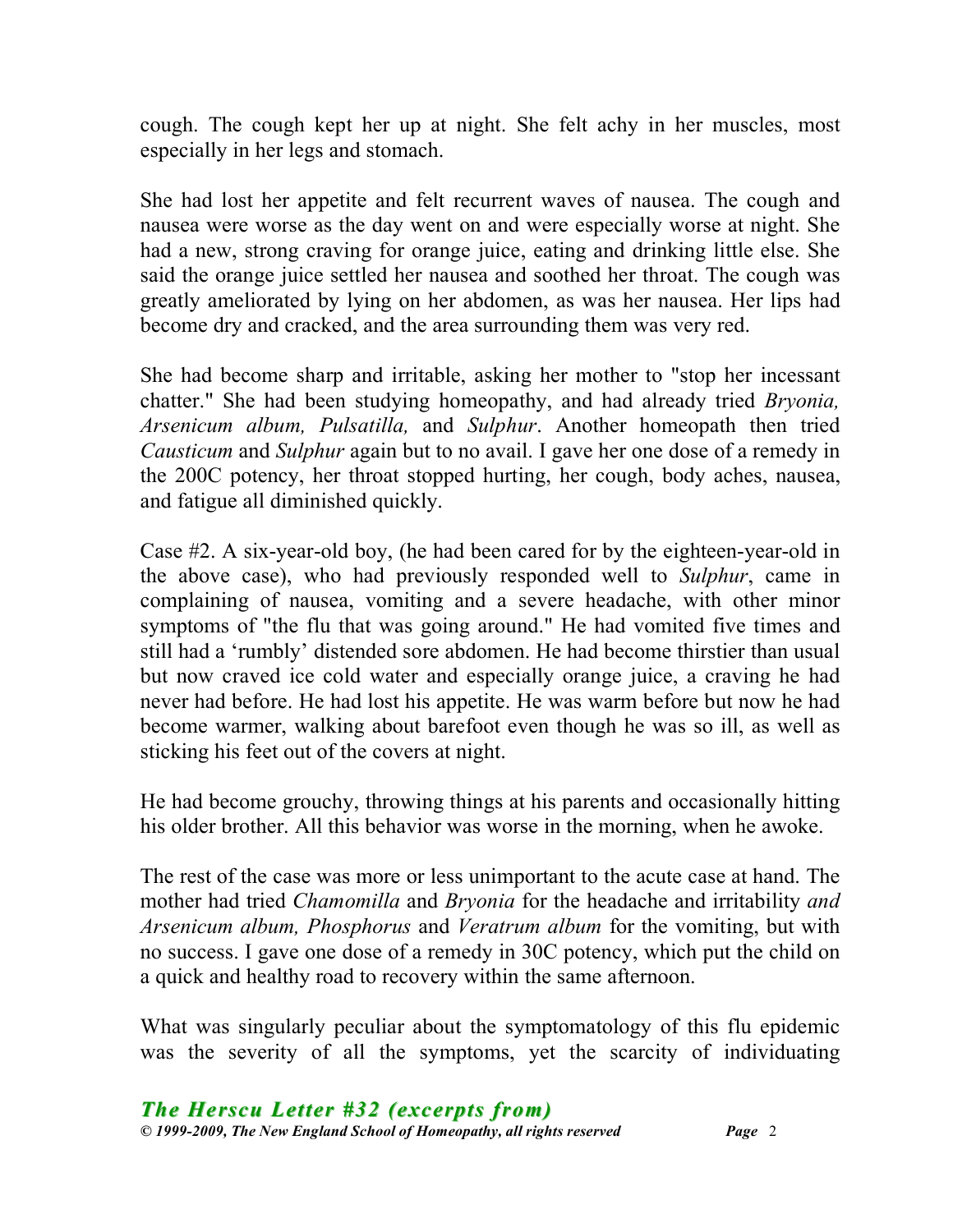cough. The cough kept her up at night. She felt achy in her muscles, most especially in her legs and stomach.

She had lost her appetite and felt recurrent waves of nausea. The cough and nausea were worse as the day went on and were especially worse at night. She had a new, strong craving for orange juice, eating and drinking little else. She said the orange juice settled her nausea and soothed her throat. The cough was greatly ameliorated by lying on her abdomen, as was her nausea. Her lips had become dry and cracked, and the area surrounding them was very red.

She had become sharp and irritable, asking her mother to "stop her incessant chatter." She had been studying homeopathy, and had already tried *Bryonia, Arsenicum album, Pulsatilla,* and *Sulphur*. Another homeopath then tried *Causticum* and *Sulphur* again but to no avail. I gave her one dose of a remedy in the 200C potency, her throat stopped hurting, her cough, body aches, nausea, and fatigue all diminished quickly.

Case #2. A six-year-old boy, (he had been cared for by the eighteen-year-old in the above case), who had previously responded well to *Sulphur*, came in complaining of nausea, vomiting and a severe headache, with other minor symptoms of "the flu that was going around." He had vomited five times and still had a 'rumbly' distended sore abdomen. He had become thirstier than usual but now craved ice cold water and especially orange juice, a craving he had never had before. He had lost his appetite. He was warm before but now he had become warmer, walking about barefoot even though he was so ill, as well as sticking his feet out of the covers at night.

He had become grouchy, throwing things at his parents and occasionally hitting his older brother. All this behavior was worse in the morning, when he awoke.

The rest of the case was more or less unimportant to the acute case at hand. The mother had tried *Chamomilla* and *Bryonia* for the headache and irritability *and Arsenicum album, Phosphorus* and *Veratrum album* for the vomiting, but with no success. I gave one dose of a remedy in 30C potency, which put the child on a quick and healthy road to recovery within the same afternoon.

What was singularly peculiar about the symptomatology of this flu epidemic was the severity of all the symptoms, yet the scarcity of individuating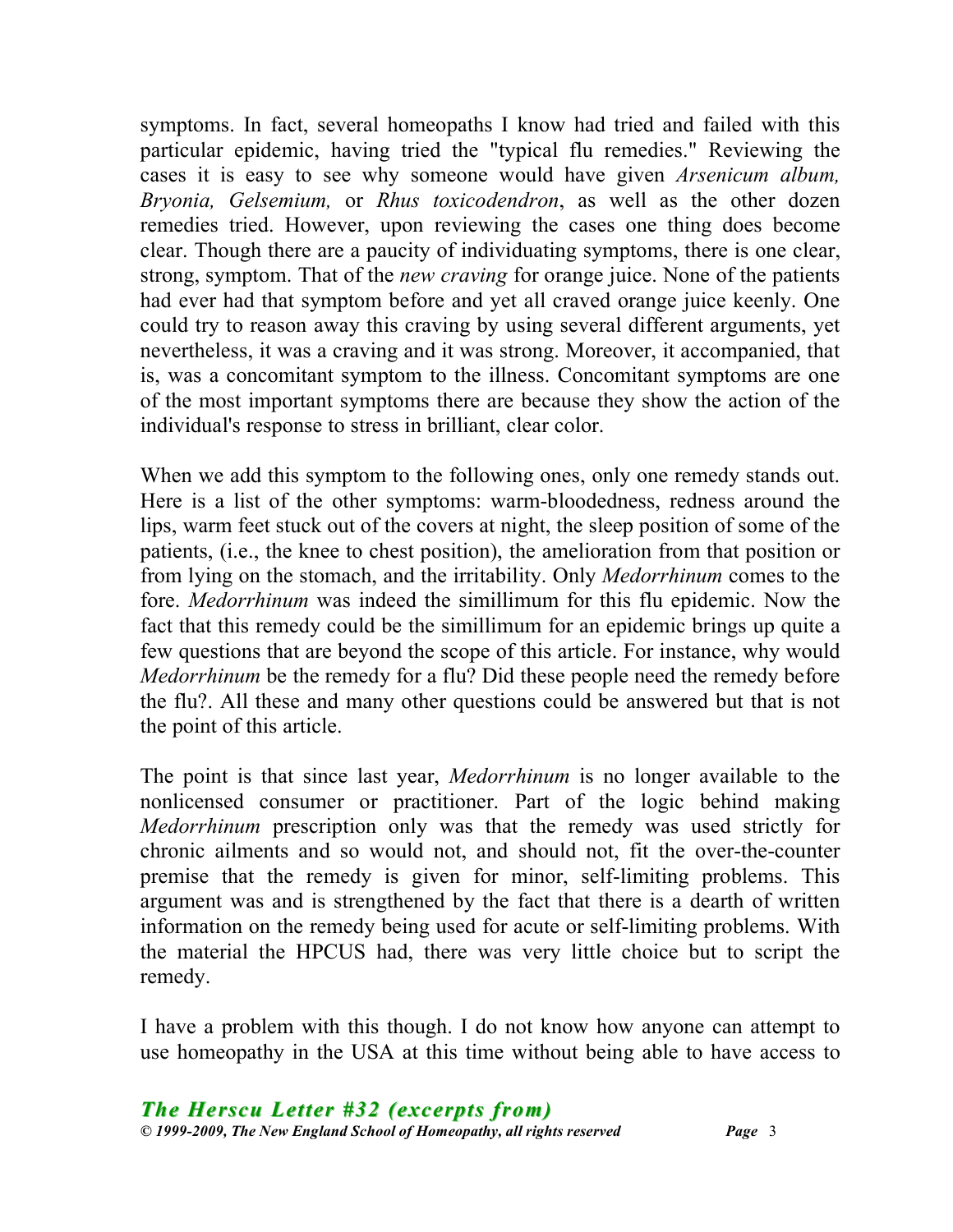symptoms. In fact, several homeopaths I know had tried and failed with this particular epidemic, having tried the "typical flu remedies." Reviewing the cases it is easy to see why someone would have given *Arsenicum album, Bryonia, Gelsemium,* or *Rhus toxicodendron*, as well as the other dozen remedies tried. However, upon reviewing the cases one thing does become clear. Though there are a paucity of individuating symptoms, there is one clear, strong, symptom. That of the *new craving* for orange juice. None of the patients had ever had that symptom before and yet all craved orange juice keenly. One could try to reason away this craving by using several different arguments, yet nevertheless, it was a craving and it was strong. Moreover, it accompanied, that is, was a concomitant symptom to the illness. Concomitant symptoms are one of the most important symptoms there are because they show the action of the individual's response to stress in brilliant, clear color.

When we add this symptom to the following ones, only one remedy stands out. Here is a list of the other symptoms: warm-bloodedness, redness around the lips, warm feet stuck out of the covers at night, the sleep position of some of the patients, (i.e., the knee to chest position), the amelioration from that position or from lying on the stomach, and the irritability. Only *Medorrhinum* comes to the fore. *Medorrhinum* was indeed the simillimum for this flu epidemic. Now the fact that this remedy could be the simillimum for an epidemic brings up quite a few questions that are beyond the scope of this article. For instance, why would *Medorrhinum* be the remedy for a flu? Did these people need the remedy before the flu?. All these and many other questions could be answered but that is not the point of this article.

The point is that since last year, *Medorrhinum* is no longer available to the nonlicensed consumer or practitioner. Part of the logic behind making *Medorrhinum* prescription only was that the remedy was used strictly for chronic ailments and so would not, and should not, fit the over-the-counter premise that the remedy is given for minor, self-limiting problems. This argument was and is strengthened by the fact that there is a dearth of written information on the remedy being used for acute or self-limiting problems. With the material the HPCUS had, there was very little choice but to script the remedy.

I have a problem with this though. I do not know how anyone can attempt to use homeopathy in the USA at this time without being able to have access to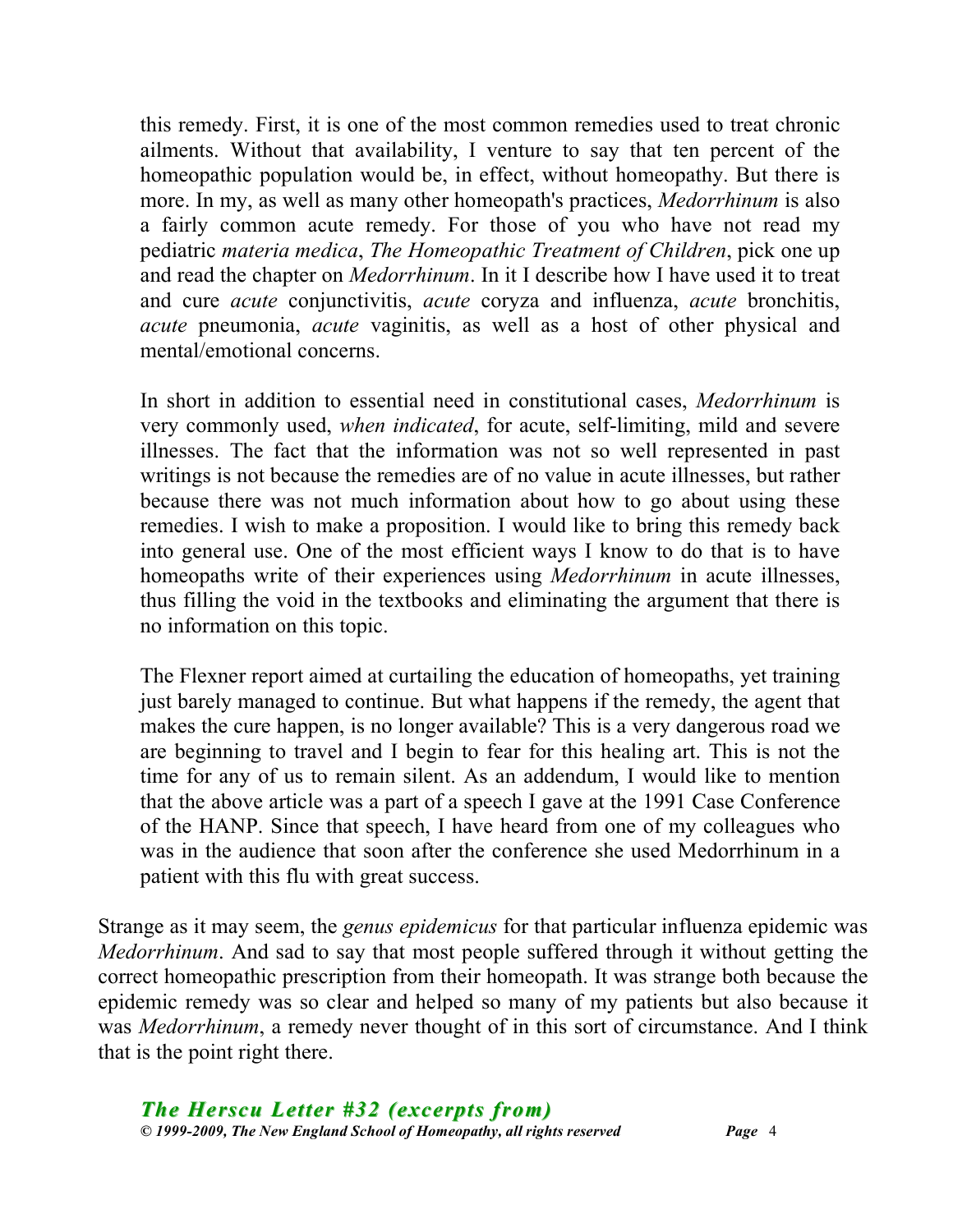this remedy. First, it is one of the most common remedies used to treat chronic ailments. Without that availability, I venture to say that ten percent of the homeopathic population would be, in effect, without homeopathy. But there is more. In my, as well as many other homeopath's practices, *Medorrhinum* is also a fairly common acute remedy. For those of you who have not read my pediatric *materia medica*, *The Homeopathic Treatment of Children*, pick one up and read the chapter on *Medorrhinum*. In it I describe how I have used it to treat and cure *acute* conjunctivitis, *acute* coryza and influenza, *acute* bronchitis, *acute* pneumonia, *acute* vaginitis, as well as a host of other physical and mental/emotional concerns.

In short in addition to essential need in constitutional cases, *Medorrhinum* is very commonly used, *when indicated*, for acute, self-limiting, mild and severe illnesses. The fact that the information was not so well represented in past writings is not because the remedies are of no value in acute illnesses, but rather because there was not much information about how to go about using these remedies. I wish to make a proposition. I would like to bring this remedy back into general use. One of the most efficient ways I know to do that is to have homeopaths write of their experiences using *Medorrhinum* in acute illnesses, thus filling the void in the textbooks and eliminating the argument that there is no information on this topic.

The Flexner report aimed at curtailing the education of homeopaths, yet training just barely managed to continue. But what happens if the remedy, the agent that makes the cure happen, is no longer available? This is a very dangerous road we are beginning to travel and I begin to fear for this healing art. This is not the time for any of us to remain silent. As an addendum, I would like to mention that the above article was a part of a speech I gave at the 1991 Case Conference of the HANP. Since that speech, I have heard from one of my colleagues who was in the audience that soon after the conference she used Medorrhinum in a patient with this flu with great success.

Strange as it may seem, the *genus epidemicus* for that particular influenza epidemic was *Medorrhinum*. And sad to say that most people suffered through it without getting the correct homeopathic prescription from their homeopath. It was strange both because the epidemic remedy was so clear and helped so many of my patients but also because it was *Medorrhinum*, a remedy never thought of in this sort of circumstance. And I think that is the point right there.

*The Herscu Letter #32 (excerpts from) © 1999-2009, The New England School of Homeopathy, all rights reserved Page* 4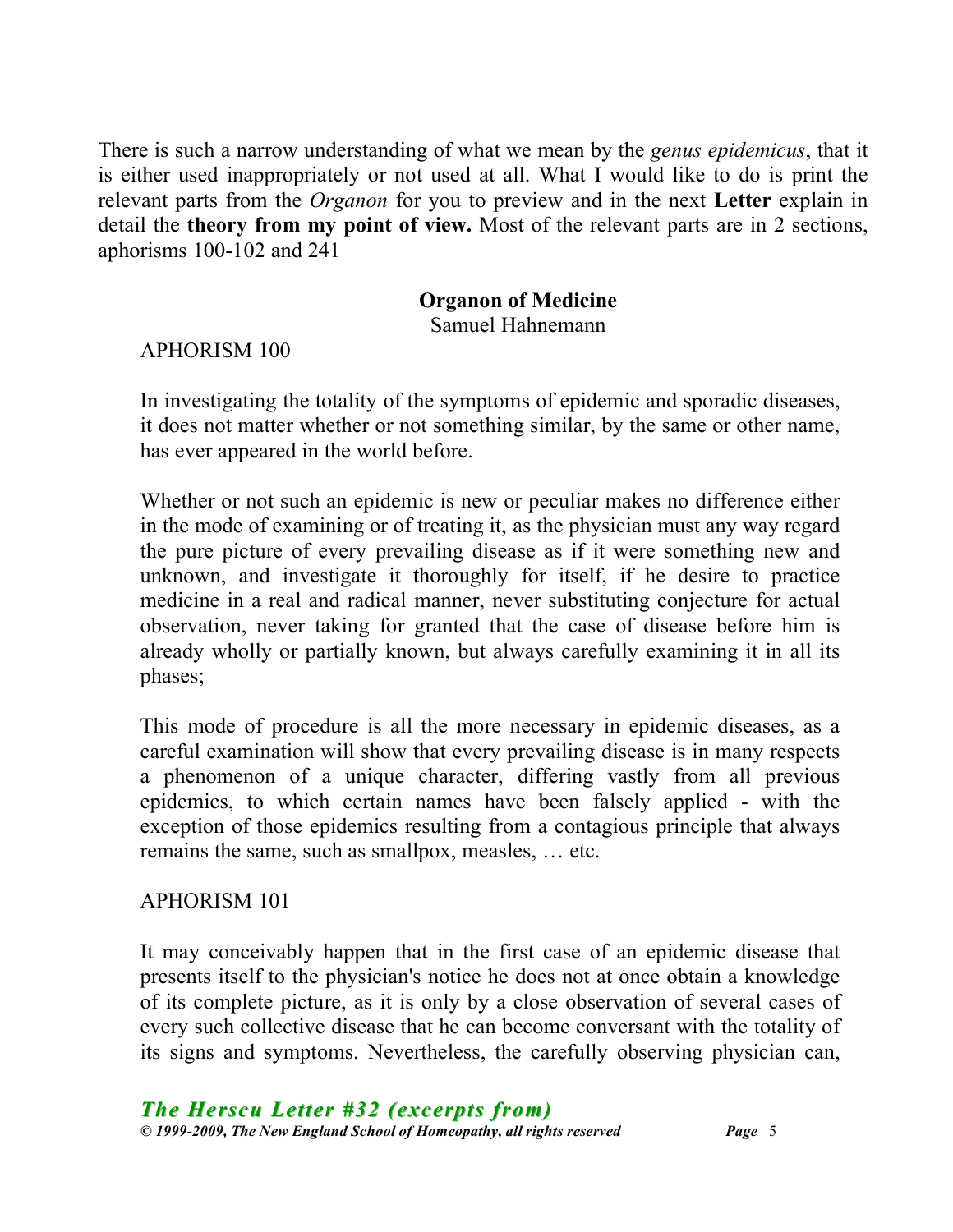There is such a narrow understanding of what we mean by the *genus epidemicus*, that it is either used inappropriately or not used at all. What I would like to do is print the relevant parts from the *Organon* for you to preview and in the next **Letter** explain in detail the **theory from my point of view.** Most of the relevant parts are in 2 sections, aphorisms 100-102 and 241

### **Organon of Medicine**

Samuel Hahnemann

APHORISM 100

In investigating the totality of the symptoms of epidemic and sporadic diseases, it does not matter whether or not something similar, by the same or other name, has ever appeared in the world before.

Whether or not such an epidemic is new or peculiar makes no difference either in the mode of examining or of treating it, as the physician must any way regard the pure picture of every prevailing disease as if it were something new and unknown, and investigate it thoroughly for itself, if he desire to practice medicine in a real and radical manner, never substituting conjecture for actual observation, never taking for granted that the case of disease before him is already wholly or partially known, but always carefully examining it in all its phases;

This mode of procedure is all the more necessary in epidemic diseases, as a careful examination will show that every prevailing disease is in many respects a phenomenon of a unique character, differing vastly from all previous epidemics, to which certain names have been falsely applied - with the exception of those epidemics resulting from a contagious principle that always remains the same, such as smallpox, measles, … etc.

#### APHORISM 101

It may conceivably happen that in the first case of an epidemic disease that presents itself to the physician's notice he does not at once obtain a knowledge of its complete picture, as it is only by a close observation of several cases of every such collective disease that he can become conversant with the totality of its signs and symptoms. Nevertheless, the carefully observing physician can,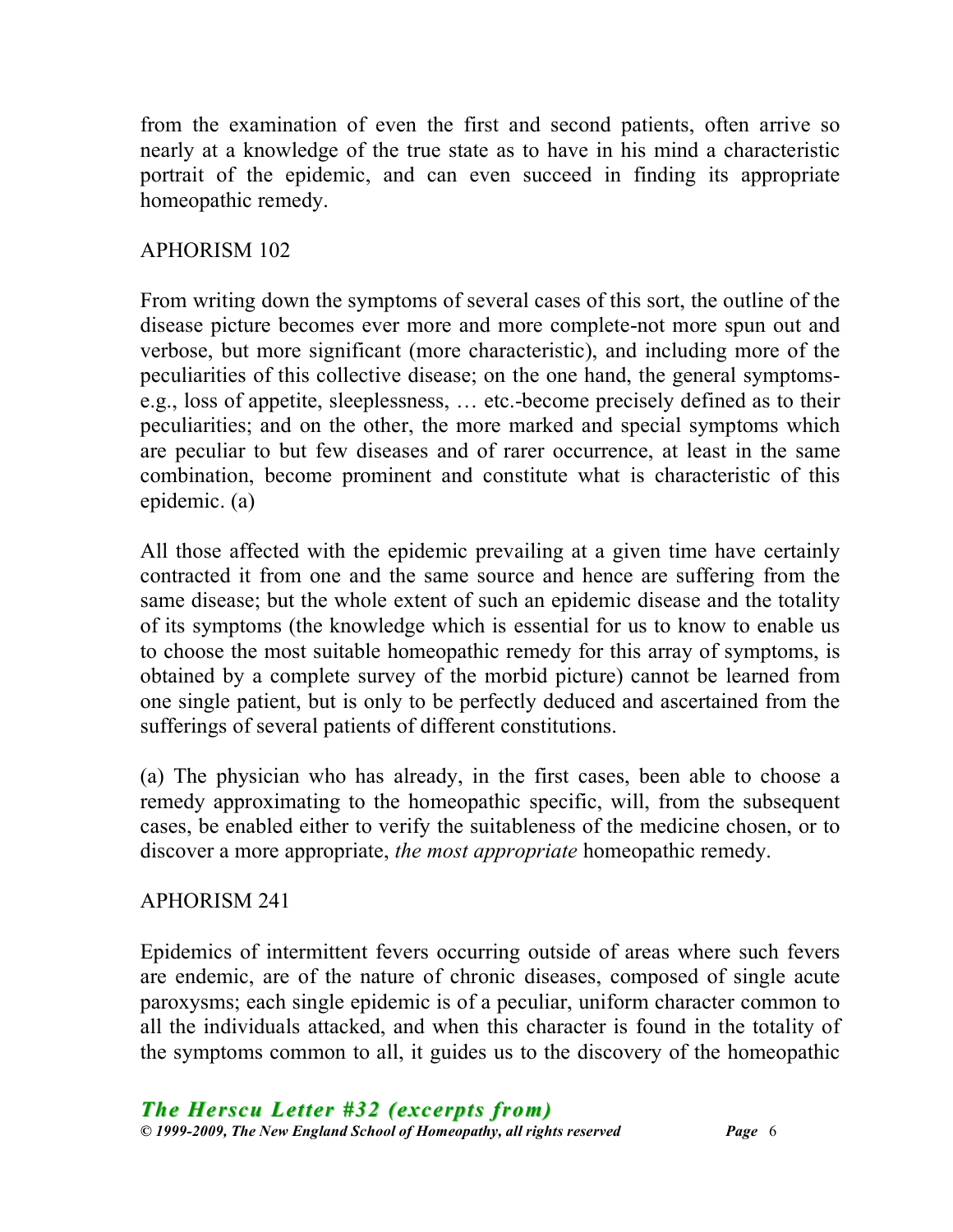from the examination of even the first and second patients, often arrive so nearly at a knowledge of the true state as to have in his mind a characteristic portrait of the epidemic, and can even succeed in finding its appropriate homeopathic remedy.

# APHORISM 102

From writing down the symptoms of several cases of this sort, the outline of the disease picture becomes ever more and more complete-not more spun out and verbose, but more significant (more characteristic), and including more of the peculiarities of this collective disease; on the one hand, the general symptomse.g., loss of appetite, sleeplessness, … etc.-become precisely defined as to their peculiarities; and on the other, the more marked and special symptoms which are peculiar to but few diseases and of rarer occurrence, at least in the same combination, become prominent and constitute what is characteristic of this epidemic. (a)

All those affected with the epidemic prevailing at a given time have certainly contracted it from one and the same source and hence are suffering from the same disease; but the whole extent of such an epidemic disease and the totality of its symptoms (the knowledge which is essential for us to know to enable us to choose the most suitable homeopathic remedy for this array of symptoms, is obtained by a complete survey of the morbid picture) cannot be learned from one single patient, but is only to be perfectly deduced and ascertained from the sufferings of several patients of different constitutions.

(a) The physician who has already, in the first cases, been able to choose a remedy approximating to the homeopathic specific, will, from the subsequent cases, be enabled either to verify the suitableness of the medicine chosen, or to discover a more appropriate, *the most appropriate* homeopathic remedy.

# APHORISM 241

Epidemics of intermittent fevers occurring outside of areas where such fevers are endemic, are of the nature of chronic diseases, composed of single acute paroxysms; each single epidemic is of a peculiar, uniform character common to all the individuals attacked, and when this character is found in the totality of the symptoms common to all, it guides us to the discovery of the homeopathic